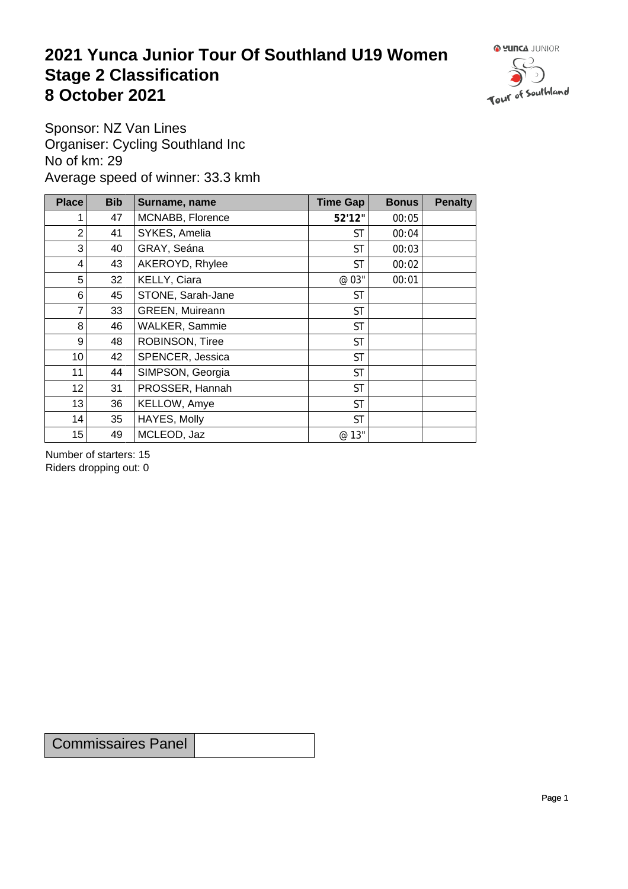## **2021 Yunca Junior Tour Of Southland U19 Women** Stage 2 Classification<br>8 October 2021 **8 October 2021**



Sponsor: NZ Van Lines Organiser: Cycling Southland Inc No of km: 29 Average speed of winner: 33.3 kmh

| <b>Place</b>    | <b>Bib</b> | Surname, name     | Time Gap  | <b>Bonus</b> | <b>Penalty</b> |
|-----------------|------------|-------------------|-----------|--------------|----------------|
|                 | 47         | MCNABB, Florence  | 52'12"    | 00:05        |                |
| $\overline{2}$  | 41         | SYKES, Amelia     | <b>ST</b> | 00:04        |                |
| 3               | 40         | GRAY, Seána       | <b>ST</b> | 00:03        |                |
| 4               | 43         | AKEROYD, Rhylee   | <b>ST</b> | 00:02        |                |
| 5               | 32         | KELLY, Ciara      | @ 03"     | 00:01        |                |
| 6               | 45         | STONE, Sarah-Jane | <b>ST</b> |              |                |
| $\overline{7}$  | 33         | GREEN, Muireann   | <b>ST</b> |              |                |
| 8               | 46         | WALKER, Sammie    | <b>ST</b> |              |                |
| 9               | 48         | ROBINSON, Tiree   | <b>ST</b> |              |                |
| 10 <sup>1</sup> | 42         | SPENCER, Jessica  | <b>ST</b> |              |                |
| 11              | 44         | SIMPSON, Georgia  | <b>ST</b> |              |                |
| 12              | 31         | PROSSER, Hannah   | <b>ST</b> |              |                |
| 13              | 36         | KELLOW, Amye      | <b>ST</b> |              |                |
| 14              | 35         | HAYES, Molly      | <b>ST</b> |              |                |
| 15              | 49         | MCLEOD, Jaz       | @ 13"     |              |                |

Number of starters: 15 Riders dropping out: 0

Commissaires Panel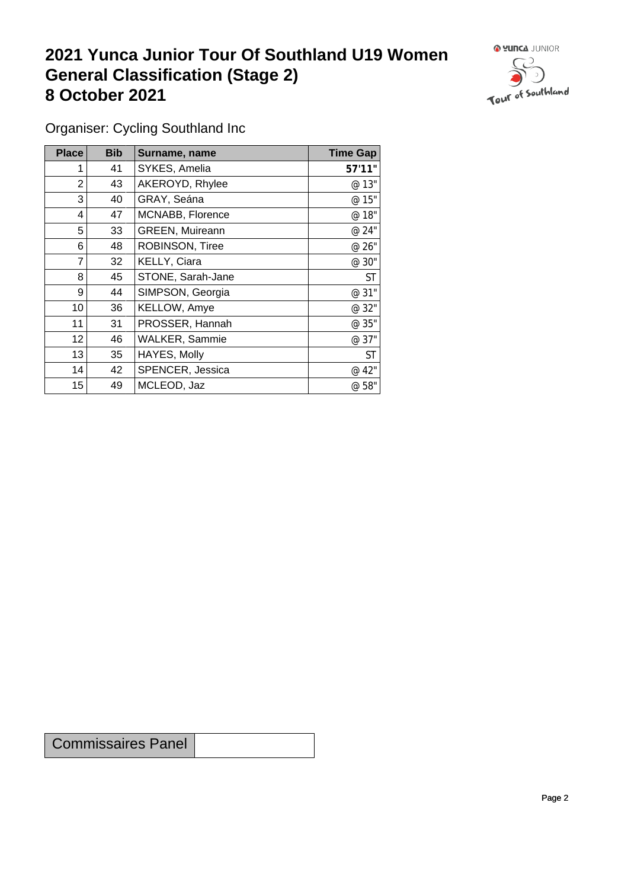## **2021 Yunca Junior Tour Of Southland U19 Women General Classification (Stage 2)**<br> **8 October 2021 8 October 2021**



Organiser: Cycling Southland Inc

| <b>Place</b>    | <b>Bib</b> | Surname, name         | <b>Time Gap</b> |
|-----------------|------------|-----------------------|-----------------|
|                 | 41         | SYKES, Amelia         | 57'11"          |
| $\overline{2}$  | 43         | AKEROYD, Rhylee       | @ 13"           |
| 3 <sub>1</sub>  | 40         | GRAY, Seána           | @ 15"           |
| 4               | 47         | MCNABB, Florence      | @ 18"           |
| 5               | 33         | GREEN, Muireann       | @ 24"           |
| 6               | 48         | ROBINSON, Tiree       | @ 26"           |
| $\overline{7}$  | 32         | KELLY, Ciara          | @ 30"           |
| 8               | 45         | STONE, Sarah-Jane     | <b>ST</b>       |
| 9               | 44         | SIMPSON, Georgia      | @ 31"           |
| 10 <sup>1</sup> | 36         | KELLOW, Amye          | @ 32"           |
| 11              | 31         | PROSSER, Hannah       | @ 35"           |
| 12              | 46         | <b>WALKER, Sammie</b> | @ 37"           |
| 13              | 35         | HAYES, Molly          | <b>ST</b>       |
| 14              | 42         | SPENCER, Jessica      | @ 42"           |
| 15              | 49         | MCLEOD, Jaz           | @ 58"           |

Commissaires Panel